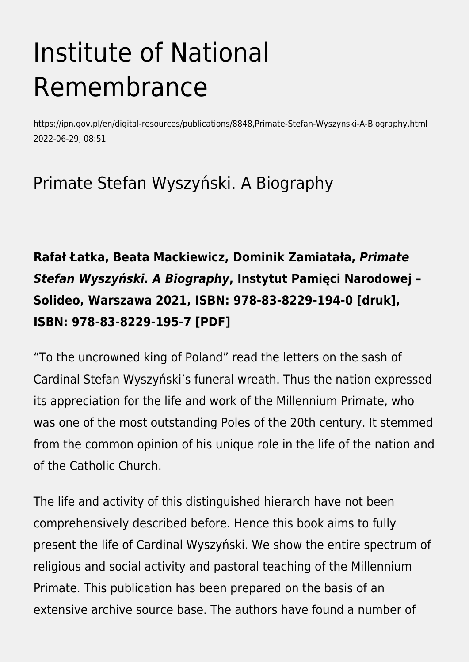# Institute of National Remembrance

https://ipn.gov.pl/en/digital-resources/publications/8848,Primate-Stefan-Wyszynski-A-Biography.html 2022-06-29, 08:51

## Primate Stefan Wyszyński. A Biography

#### **Rafał Łatka, Beata Mackiewicz, Dominik Zamiatała,** *Primate Stefan Wyszyński. A Biography***, Instytut Pamięci Narodowej – Solideo, Warszawa 2021, ISBN: 978-83-8229-194-0 [druk], ISBN: 978-83-8229-195-7 [PDF]**

"To the uncrowned king of Poland" read the letters on the sash of Cardinal Stefan Wyszyński's funeral wreath. Thus the nation expressed its appreciation for the life and work of the Millennium Primate, who was one of the most outstanding Poles of the 20th century. It stemmed from the common opinion of his unique role in the life of the nation and of the Catholic Church.

The life and activity of this distinguished hierarch have not been comprehensively described before. Hence this book aims to fully present the life of Cardinal Wyszyński. We show the entire spectrum of religious and social activity and pastoral teaching of the Millennium Primate. This publication has been prepared on the basis of an extensive archive source base. The authors have found a number of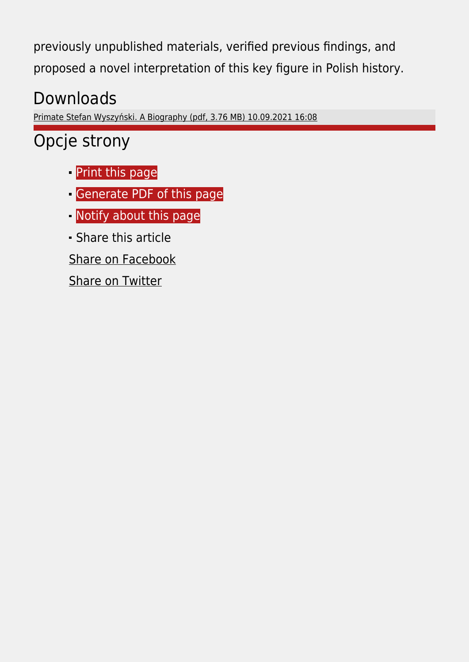previously unpublished materials, verified previous findings, and proposed a novel interpretation of this key figure in Polish history.

# Downloads

[Primate Stefan Wyszyński. A Biography \(pdf, 3.76 MB\) 10.09.2021 16:08](https://ipn.gov.pl/download/2/37736/StefanWyszynskiBiografiaangtargi.pdf)

### Opcje strony

- **[Print](https://ipn.gov.pl/javascript:winopen() [this page](https://ipn.gov.pl/javascript:winopen()**
- [Generate PDF](https://ipn.gov.pl/en/digital-resources/publications/8848,Primate-Stefan-Wyszynski-A-Biography.pdf) [of this page](https://ipn.gov.pl/en/digital-resources/publications/8848,Primate-Stefan-Wyszynski-A-Biography.pdf)
- [Notify](https://ipn.gov.pl/en/powiadom/8848,dok.html?poz=digital-resources/publications&drukuj=window) [about this page](https://ipn.gov.pl/en/powiadom/8848,dok.html?poz=digital-resources/publications&drukuj=window)
- Share this article
- [Share](https://www.facebook.com/sharer/sharer.php?u=https://ipn.gov.pl/en/digital-resources/publications/8848,Primate-Stefan-Wyszynski-A-Biography.html) [on Facebook](https://www.facebook.com/sharer/sharer.php?u=https://ipn.gov.pl/en/digital-resources/publications/8848,Primate-Stefan-Wyszynski-A-Biography.html)
- [Share](https://twitter.com/share) [on Twitter](https://twitter.com/share)